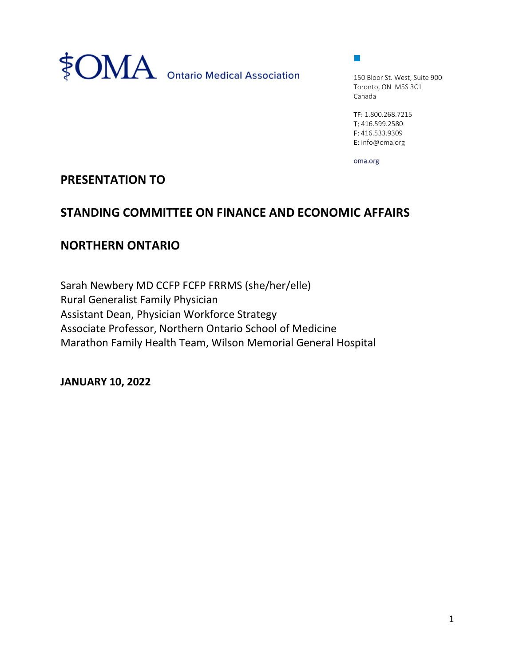

 $\mathcal{L}_{\mathcal{A}}$ 

150 Bloor St. West, Suite 900 Toronto, ON M5S 3C1 Canada

TF: 1.800.268.7215 T: 416.599.2580 F: 416.533.9309 E: info@oma.org

oma.org

## PRESENTATION TO

## STANDING COMMITTEE ON FINANCE AND ECONOMIC AFFAIRS

## NORTHERN ONTARIO

Sarah Newbery MD CCFP FCFP FRRMS (she/her/elle) Rural Generalist Family Physician Assistant Dean, Physician Workforce Strategy Associate Professor, Northern Ontario School of Medicine Marathon Family Health Team, Wilson Memorial General Hospital

JANUARY 10, 2022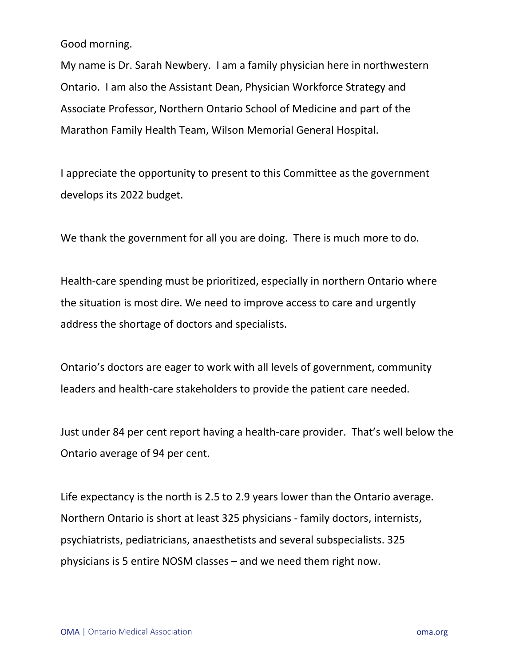Good morning.

My name is Dr. Sarah Newbery. I am a family physician here in northwestern Ontario. I am also the Assistant Dean, Physician Workforce Strategy and Associate Professor, Northern Ontario School of Medicine and part of the Marathon Family Health Team, Wilson Memorial General Hospital.

I appreciate the opportunity to present to this Committee as the government develops its 2022 budget.

We thank the government for all you are doing. There is much more to do.

Health-care spending must be prioritized, especially in northern Ontario where the situation is most dire. We need to improve access to care and urgently address the shortage of doctors and specialists.

Ontario's doctors are eager to work with all levels of government, community leaders and health-care stakeholders to provide the patient care needed.

Just under 84 per cent report having a health-care provider. That's well below the Ontario average of 94 per cent.

Life expectancy is the north is 2.5 to 2.9 years lower than the Ontario average. Northern Ontario is short at least 325 physicians - family doctors, internists, psychiatrists, pediatricians, anaesthetists and several subspecialists. 325 physicians is 5 entire NOSM classes – and we need them right now.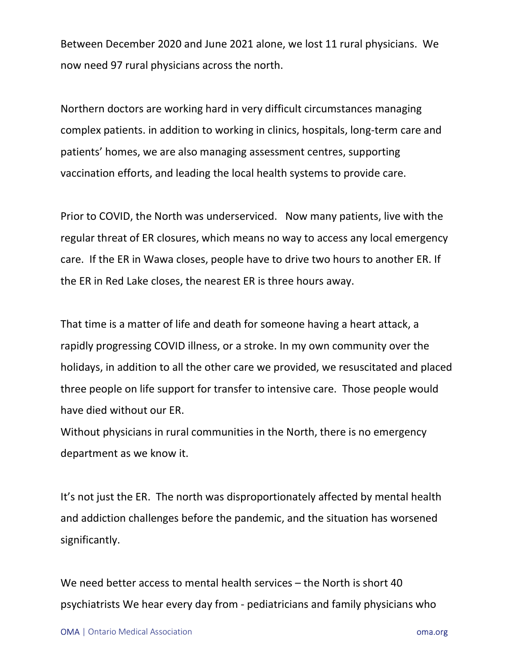Between December 2020 and June 2021 alone, we lost 11 rural physicians. We now need 97 rural physicians across the north.

Northern doctors are working hard in very difficult circumstances managing complex patients. in addition to working in clinics, hospitals, long-term care and patients' homes, we are also managing assessment centres, supporting vaccination efforts, and leading the local health systems to provide care.

Prior to COVID, the North was underserviced. Now many patients, live with the regular threat of ER closures, which means no way to access any local emergency care. If the ER in Wawa closes, people have to drive two hours to another ER. If the ER in Red Lake closes, the nearest ER is three hours away.

That time is a matter of life and death for someone having a heart attack, a rapidly progressing COVID illness, or a stroke. In my own community over the holidays, in addition to all the other care we provided, we resuscitated and placed three people on life support for transfer to intensive care. Those people would have died without our ER.

Without physicians in rural communities in the North, there is no emergency department as we know it.

It's not just the ER. The north was disproportionately affected by mental health and addiction challenges before the pandemic, and the situation has worsened significantly.

We need better access to mental health services – the North is short 40 psychiatrists We hear every day from - pediatricians and family physicians who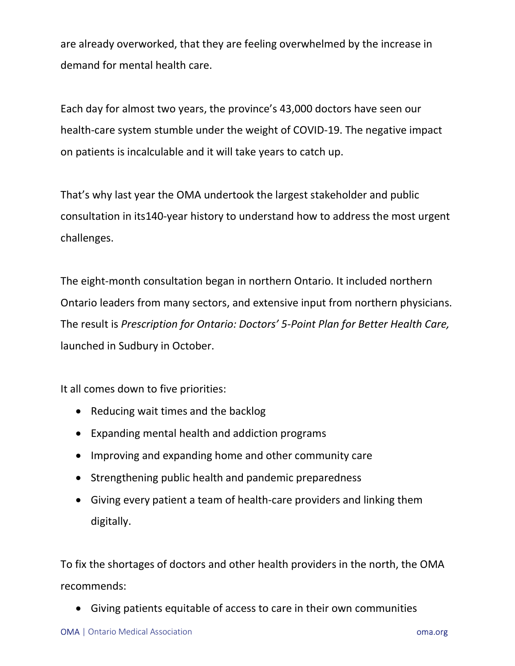are already overworked, that they are feeling overwhelmed by the increase in demand for mental health care.

Each day for almost two years, the province's 43,000 doctors have seen our health-care system stumble under the weight of COVID-19. The negative impact on patients is incalculable and it will take years to catch up.

That's why last year the OMA undertook the largest stakeholder and public consultation in its140-year history to understand how to address the most urgent challenges.

The eight-month consultation began in northern Ontario. It included northern Ontario leaders from many sectors, and extensive input from northern physicians. The result is Prescription for Ontario: Doctors' 5-Point Plan for Better Health Care, launched in Sudbury in October.

It all comes down to five priorities:

- Reducing wait times and the backlog
- Expanding mental health and addiction programs
- Improving and expanding home and other community care
- Strengthening public health and pandemic preparedness
- Giving every patient a team of health-care providers and linking them digitally.

To fix the shortages of doctors and other health providers in the north, the OMA recommends:

Giving patients equitable of access to care in their own communities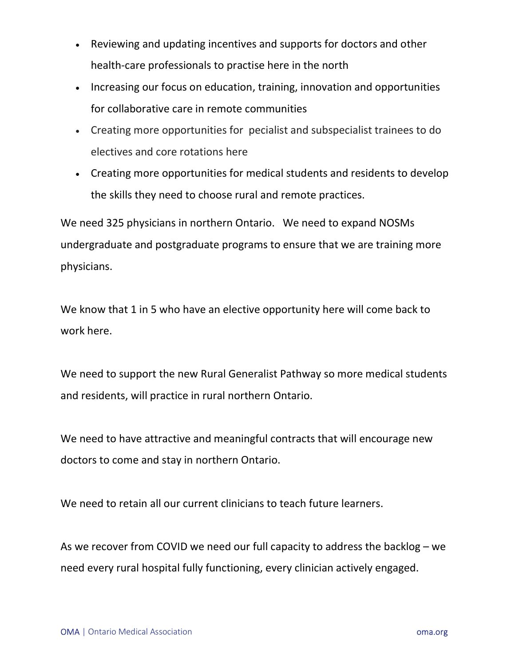- Reviewing and updating incentives and supports for doctors and other health-care professionals to practise here in the north
- Increasing our focus on education, training, innovation and opportunities for collaborative care in remote communities
- Creating more opportunities for pecialist and subspecialist trainees to do electives and core rotations here
- Creating more opportunities for medical students and residents to develop the skills they need to choose rural and remote practices.

We need 325 physicians in northern Ontario. We need to expand NOSMs undergraduate and postgraduate programs to ensure that we are training more physicians.

We know that 1 in 5 who have an elective opportunity here will come back to work here.

We need to support the new Rural Generalist Pathway so more medical students and residents, will practice in rural northern Ontario.

We need to have attractive and meaningful contracts that will encourage new doctors to come and stay in northern Ontario.

We need to retain all our current clinicians to teach future learners.

As we recover from COVID we need our full capacity to address the backlog – we need every rural hospital fully functioning, every clinician actively engaged.